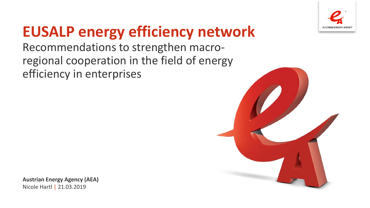

# **EUSALP energy efficiency network**

Recommendations to strengthen macroregional cooperation in the field of energy efficiency in enterprises

**Austrian Energy Agency (AEA)** Nicole Hartl | 21.03.2019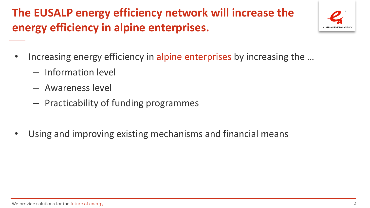## **The EUSALP energy efficiency network will increase the energy efficiency in alpine enterprises.**



- Increasing energy efficiency in alpine enterprises by increasing the …
	- Information level
	- Awareness level
	- Practicability of funding programmes
- Using and improving existing mechanisms and financial means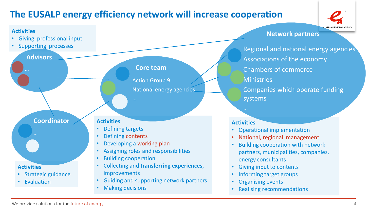### **The EUSALP energy efficiency network will increase cooperation**



#### **Activities**

- Giving professional input
- Supporting processes

**Advisors**

#### **Core team**

Action Group 9 National energy agencies

**Coordinator**

• Strategic guidance

**Evaluation** 

…

**Activities**

#### **Activities**

- Defining targets
- Defining contents
- Developing a working plan
- Assigning roles and responsibilities
- Building cooperation
- Collecting and **transferring experiences**, improvements
- Guiding and supporting network partners
- Making decisions

**Network partners**

Regional and national energy agencies Associations of the economy Chambers of commerce **Ministries** Companies which operate funding systems

#### **Activities**

- Operational implementation
- National, regional management
- Building cooperation with network partners, municipalities, companies, energy consultants
- Giving input to contents
- Informing target groups
- Organising events
- Realising recommendations

We provide solutions for the future of energy.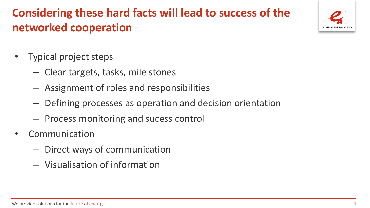## **Considering these hard facts will lead to success of the networked cooperation**



- Clear targets, tasks, mile stones
- Assignment of roles and responsibilities
- Defining processes as operation and decision orientation
- Process monitoring and sucess control
- **Communication** 
	- Direct ways of communication
	- Visualisation of information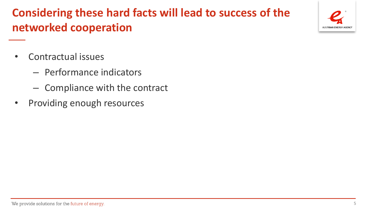## **Considering these hard facts will lead to success of the networked cooperation**

- Contractual issues
	- Performance indicators
	- Compliance with the contract
- Providing enough resources

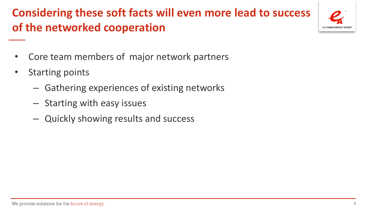## **Considering these soft facts will even more lead to success of the networked cooperation**



- Core team members of major network partners
- Starting points
	- Gathering experiences of existing networks
	- Starting with easy issues
	- Quickly showing results and success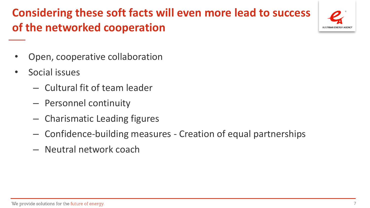### **Considering these soft facts will even more lead to success of the networked cooperation**



- Open, cooperative collaboration
- Social issues
	- Cultural fit of team leader
	- Personnel continuity
	- Charismatic Leading figures
	- Confidence-building measures Creation of equal partnerships
	- Neutral network coach